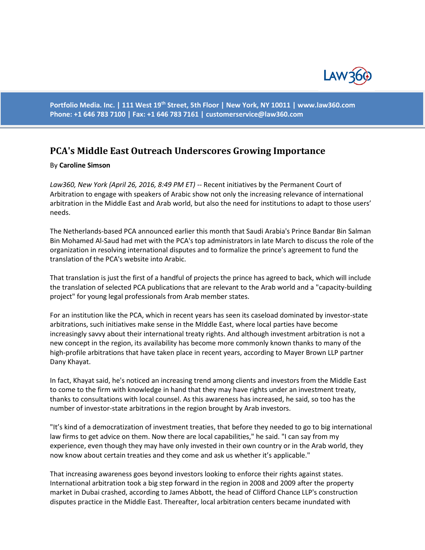

**Portfolio Media. Inc. | 111 West 19th Street, 5th Floor | New York, NY 10011 | www.law360.com Phone: +1 646 783 7100 | Fax: +1 646 783 7161 | [customerservice@law360.com](mailto:customerservice@law360.com)**

## **PCA's Middle East Outreach Underscores Growing Importance**

## By **Caroline Simson**

*Law360, New York (April 26, 2016, 8:49 PM ET)* -- Recent initiatives by the [Permanent Court of](https://www.law360.com/agency/permanent-court-of-arbitration)  [Arbitration](https://www.law360.com/agency/permanent-court-of-arbitration) to engage with speakers of Arabic show not only the increasing relevance of international arbitration in the Middle East and Arab world, but also the need for institutions to adapt to those users' needs.

The Netherlands-based PCA announced earlier this month that Saudi Arabia's Prince Bandar Bin Salman Bin Mohamed Al-Saud had met with the PCA's top administrators in late March to discuss the role of the organization in resolving international disputes and to formalize the prince's agreement to fund the translation of the PCA's website into Arabic.

That translation is just the first of a handful of projects the prince has agreed to back, which will include the translation of selected PCA publications that are relevant to the Arab world and a "capacity-building project" for young legal professionals from Arab member states.

For an institution like the PCA, which in recent years has seen its caseload dominated by investor-state arbitrations, such initiatives make sense in the MIddle East, where local parties have become increasingly savvy about their international treaty rights. And although investment arbitration is not a new concept in the region, its availability has become more commonly known thanks to many of the high-profile arbitrations that have taken place in recent years, according to [Mayer Brown LLP](https://www.law360.com/firm/mayer-brown) partner Dany Khayat.

In fact, Khayat said, he's noticed an increasing trend among clients and investors from the Middle East to come to the firm with knowledge in hand that they may have rights under an investment treaty, thanks to consultations with local counsel. As this awareness has increased, he said, so too has the number of investor-state arbitrations in the region brought by Arab investors.

"It's kind of a democratization of investment treaties, that before they needed to go to big international law firms to get advice on them. Now there are local capabilities," he said. "I can say from my experience, even though they may have only invested in their own country or in the Arab world, they now know about certain treaties and they come and ask us whether it's applicable."

That increasing awareness goes beyond investors looking to enforce their rights against states. International arbitration took a big step forward in the region in 2008 and 2009 after the property market in Dubai crashed, according to James Abbott, the head of [Clifford Chance LLP's](https://www.law360.com/firm/clifford-chance) construction disputes practice in the Middle East. Thereafter, local arbitration centers became inundated with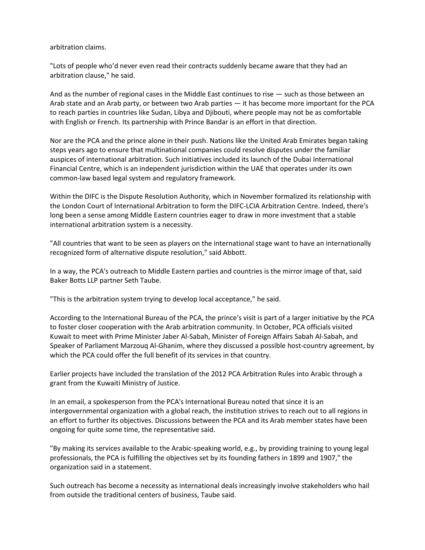arbitration claims.

"Lots of people who'd never even read their contracts suddenly became aware that they had an arbitration clause," he said.

And as the number of regional cases in the Middle East continues to rise — such as those between an Arab state and an Arab party, or between two Arab parties — it has become more important for the PCA to reach parties in countries like Sudan, Libya and Djibouti, where people may not be as comfortable with English or French. Its partnership with Prince Bandar is an effort in that direction.

Nor are the PCA and the prince alone in their push. Nations like the United Arab Emirates began taking steps years ago to ensure that multinational companies could resolve disputes under the familiar auspices of international arbitration. Such initiatives included its launch of the Dubai International Financial Centre, which is an independent jurisdiction within the UAE that operates under its own common-law based legal system and regulatory framework.

Within the DIFC is the Dispute Resolution Authority, which in November formalized its relationship with th[e London Court of International Arbitration](https://www.law360.com/company/london-court-of-international-arbitration) to form the DIFC-LCIA Arbitration Centre. Indeed, there's long been a sense among Middle Eastern countries eager to draw in more investment that a stable international arbitration system is a necessity.

"All countries that want to be seen as players on the international stage want to have an internationally recognized form of alternative dispute resolution," said Abbott.

In a way, the PCA's outreach to Middle Eastern parties and countries is the mirror image of that, said [Baker Botts LLP](https://www.law360.com/firm/baker-botts) partner Seth Taube.

"This is the arbitration system trying to develop local acceptance," he said.

According to the International Bureau of the PCA, the prince's visit is part of a larger initiative by the PCA to foster closer cooperation with the Arab arbitration community. In October, PCA officials visited Kuwait to meet with Prime Minister Jaber Al-Sabah, Minister of Foreign Affairs Sabah Al-Sabah, and Speaker of Parliament Marzouq Al-Ghanim, where they discussed a possible host-country agreement, by which the PCA could offer the full benefit of its services in that country.

Earlier projects have included the translation of the 2012 PCA Arbitration Rules into Arabic through a grant from the Kuwaiti Ministry of Justice.

In an email, a spokesperson from the PCA's International Bureau noted that since it is an intergovernmental organization with a global reach, the institution strives to reach out to all regions in an effort to further its objectives. Discussions between the PCA and its Arab member states have been ongoing for quite some time, the representative said.

"By making its services available to the Arabic-speaking world, e.g., by providing training to young legal professionals, the PCA is fulfilling the objectives set by its founding fathers in 1899 and 1907," the organization said in a statement.

Such outreach has become a necessity as international deals increasingly involve stakeholders who hail from outside the traditional centers of business, Taube said.